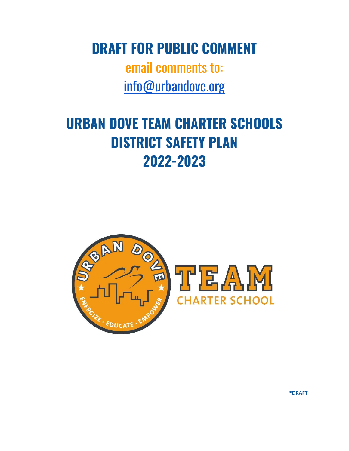**DRAFT FOR PUBLIC COMMENT**

email comments to: [info@urbandove.org](mailto:info@urbandove.org)

# **URBAN DOVE TEAM CHARTER SCHOOLS DISTRICT SAFETY PLAN 2022-2023**



**\*DRAFT**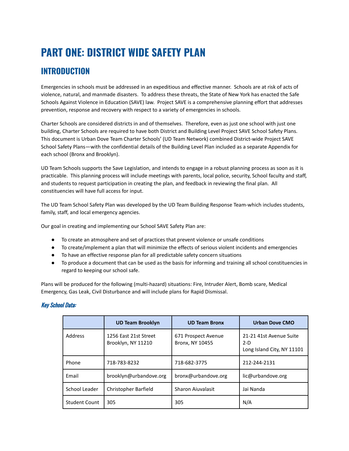## **PART ONE: DISTRICT WIDE SAFETY PLAN**

## **INTRODUCTION**

Emergencies in schools must be addressed in an expeditious and effective manner. Schools are at risk of acts of violence, natural, and manmade disasters. To address these threats, the State of New York has enacted the Safe Schools Against Violence in Education (SAVE) law. Project SAVE is a comprehensive planning effort that addresses prevention, response and recovery with respect to a variety of emergencies in schools.

Charter Schools are considered districts in and of themselves. Therefore, even as just one school with just one building, Charter Schools are required to have both District and Building Level Project SAVE School Safety Plans. This document is Urban Dove Team Charter Schools' (UD Team Network) combined District-wide Project SAVE School Safety Plans—with the confidential details of the Building Level Plan included as a separate Appendix for each school (Bronx and Brooklyn).

UD Team Schools supports the Save Legislation, and intends to engage in a robust planning process as soon as it is practicable. This planning process will include meetings with parents, local police, security, School faculty and staff, and students to request participation in creating the plan, and feedback in reviewing the final plan. All constituencies will have full access for input.

The UD Team School Safety Plan was developed by the UD Team Building Response Team-which includes students, family, staff, and local emergency agencies.

Our goal in creating and implementing our School SAVE Safety Plan are:

- To create an atmosphere and set of practices that prevent violence or unsafe conditions
- To create/implement a plan that will minimize the effects of serious violent incidents and emergencies
- To have an effective response plan for all predictable safety concern situations
- To produce a document that can be used as the basis for informing and training all school constituencies in regard to keeping our school safe.

Plans will be produced for the following (multi-hazard) situations: Fire, Intruder Alert, Bomb scare, Medical Emergency, Gas Leak, Civil Disturbance and will include plans for Rapid Dismissal.

#### Key School Data:

|               | <b>UD Team Brooklyn</b>                     | <b>UD Team Bronx</b>                   | <b>Urban Dove CMO</b>                                          |
|---------------|---------------------------------------------|----------------------------------------|----------------------------------------------------------------|
| Address       | 1256 East 21st Street<br>Brooklyn, NY 11210 | 671 Prospect Avenue<br>Bronx, NY 10455 | 21-21 41st Avenue Suite<br>$2-D$<br>Long Island City, NY 11101 |
| Phone         | 718-783-8232                                | 718-682-3775                           | 212-244-2131                                                   |
| Email         | brooklyn@urbandove.org                      | bronx@urbandove.org                    | lic@urbandove.org                                              |
| School Leader | Christopher Barfield                        | <b>Sharon Ajuvalasit</b>               | Jai Nanda                                                      |
| Student Count | 305                                         | 305                                    | N/A                                                            |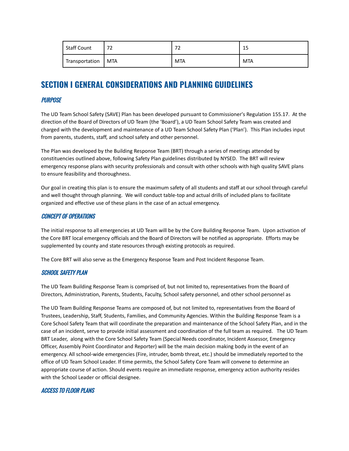| <b>Staff Count</b> | רי           | ÷          | 1 F        |
|--------------------|--------------|------------|------------|
|                    | $\epsilon$   | ←          | ᅩ          |
| Transportation     | <b>I MTA</b> | <b>MTA</b> | <b>MTA</b> |

## **SECTION I GENERAL CONSIDERATIONS AND PLANNING GUIDELINES**

#### **PURPOSE**

The UD Team School Safety (SAVE) Plan has been developed pursuant to Commissioner's Regulation 155.17. At the direction of the Board of Directors of UD Team (the 'Board'), a UD Team School Safety Team was created and charged with the development and maintenance of a UD Team School Safety Plan ('Plan'). This Plan includes input from parents, students, staff, and school safety and other personnel.

The Plan was developed by the Building Response Team (BRT) through a series of meetings attended by constituencies outlined above, following Safety Plan guidelines distributed by NYSED. The BRT will review emergency response plans with security professionals and consult with other schools with high quality SAVE plans to ensure feasibility and thoroughness.

Our goal in creating this plan is to ensure the maximum safety of all students and staff at our school through careful and well thought through planning. We will conduct table-top and actual drills of included plans to facilitate organized and effective use of these plans in the case of an actual emergency.

#### CONCEPT OF OPERATIONS

The initial response to all emergencies at UD Team will be by the Core Building Response Team. Upon activation of the Core BRT local emergency officials and the Board of Directors will be notified as appropriate. Efforts may be supplemented by county and state resources through existing protocols as required.

The Core BRT will also serve as the Emergency Response Team and Post Incident Response Team.

#### SCHOOL SAFETY PLAN

The UD Team Building Response Team is comprised of, but not limited to, representatives from the Board of Directors, Administration, Parents, Students, Faculty, School safety personnel, and other school personnel as

The UD Team Building Response Teams are composed of, but not limited to, representatives from the Board of Trustees, Leadership, Staff, Students, Families, and Community Agencies. Within the Building Response Team is a Core School Safety Team that will coordinate the preparation and maintenance of the School Safety Plan, and in the case of an incident, serve to provide initial assessment and coordination of the full team as required. The UD Team BRT Leader, along with the Core School Safety Team (Special Needs coordinator, Incident Assessor, Emergency Officer, Assembly Point Coordinator and Reporter) will be the main decision making body in the event of an emergency. All school-wide emergencies (Fire, intruder, bomb threat, etc.) should be immediately reported to the office of UD Team School Leader. If time permits, the School Safety Core Team will convene to determine an appropriate course of action. Should events require an immediate response, emergency action authority resides with the School Leader or official designee.

#### ACCESS TO FLOOR PLANS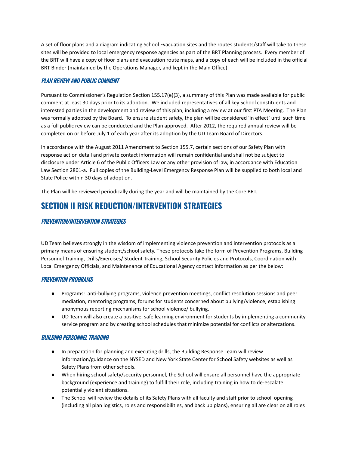A set of floor plans and a diagram indicating School Evacuation sites and the routes students/staff will take to these sites will be provided to local emergency response agencies as part of the BRT Planning process. Every member of the BRT will have a copy of floor plans and evacuation route maps, and a copy of each will be included in the official BRT Binder (maintained by the Operations Manager, and kept in the Main Office).

#### PLAN REVIEW AND PUBLIC COMMENT

Pursuant to Commissioner's Regulation Section 155.17(e)(3), a summary of this Plan was made available for public comment at least 30 days prior to its adoption. We included representatives of all key School constituents and interested parties in the development and review of this plan, including a review at our first PTA Meeting. The Plan was formally adopted by the Board. To ensure student safety, the plan will be considered 'in effect' until such time as a full public review can be conducted and the Plan approved. After 2012, the required annual review will be completed on or before July 1 of each year after its adoption by the UD Team Board of Directors.

In accordance with the August 2011 Amendment to Section 155.7, certain sections of our Safety Plan with response action detail and private contact information will remain confidential and shall not be subject to disclosure under Article 6 of the Public Officers Law or any other provision of law, in accordance with Education Law Section 2801-a. Full copies of the Building-Level Emergency Response Plan will be supplied to both local and State Police within 30 days of adoption.

The Plan will be reviewed periodically during the year and will be maintained by the Core BRT.

## **SECTION II RISK REDUCTION/INTERVENTION STRATEGIES**

#### PREVENTION/INTERVENTION STRATEGIES

UD Team believes strongly in the wisdom of implementing violence prevention and intervention protocols as a primary means of ensuring student/school safety. These protocols take the form of Prevention Programs, Building Personnel Training, Drills/Exercises/ Student Training, School Security Policies and Protocols, Coordination with Local Emergency Officials, and Maintenance of Educational Agency contact information as per the below:

#### PREVENTION PROGRAMS

- Programs: anti-bullying programs, violence prevention meetings, conflict resolution sessions and peer mediation, mentoring programs, forums for students concerned about bullying/violence, establishing anonymous reporting mechanisms for school violence/ bullying.
- UD Team will also create a positive, safe learning environment for students by implementing a community service program and by creating school schedules that minimize potential for conflicts or altercations.

#### BUILDING PERSONNEL TRAINING

- In preparation for planning and executing drills, the Building Response Team will review information/guidance on the NYSED and New York State Center for School Safety websites as well as Safety Plans from other schools.
- When hiring school safety/security personnel, the School will ensure all personnel have the appropriate background (experience and training) to fulfill their role, including training in how to de-escalate potentially violent situations.
- The School will review the details of its Safety Plans with all faculty and staff prior to school opening (including all plan logistics, roles and responsibilities, and back up plans), ensuring all are clear on all roles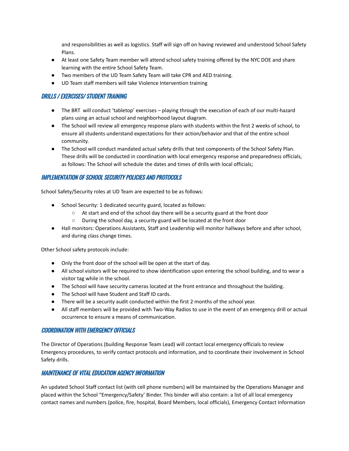and responsibilities as well as logistics. Staff will sign off on having reviewed and understood School Safety Plans.

- At least one Safety Team member will attend school safety training offered by the NYC DOE and share learning with the entire School Safety Team.
- Two members of the UD Team Safety Team will take CPR and AED training.
- UD Team staff members will take Violence Intervention training

#### DRILLS / EXERCISES/ STUDENT TRAINING

- The BRT will conduct 'tabletop' exercises playing through the execution of each of our multi-hazard plans using an actual school and neighborhood layout diagram.
- The School will review all emergency response plans with students within the first 2 weeks of school, to ensure all students understand expectations for their action/behavior and that of the entire school community.
- The School will conduct mandated actual safety drills that test components of the School Safety Plan. These drills will be conducted in coordination with local emergency response and preparedness officials, as follows: The School will schedule the dates and times of drills with local officials;

#### IMPLEMENTATION OF SCHOOL SECURITY POLICIES AND PROTOCOLS

School Safety/Security roles at UD Team are expected to be as follows:

- School Security: 1 dedicated security guard, located as follows:
	- At start and end of the school day there will be a security guard at the front door
	- During the school day, a security guard will be located at the front door
- Hall monitors: Operations Assistants, Staff and Leadership will monitor hallways before and after school, and during class change times.

Other School safety protocols include:

- Only the front door of the school will be open at the start of day.
- All school visitors will be required to show identification upon entering the school building, and to wear a visitor tag while in the school.
- The School will have security cameras located at the front entrance and throughout the building.
- The School will have Student and Staff ID cards.
- There will be a security audit conducted within the first 2 months of the school year.
- All staff members will be provided with Two-Way Radios to use in the event of an emergency drill or actual occurrence to ensure a means of communication.

#### COORDINATION WITH EMERGENCY OFFICIALS

The Director of Operations (building Response Team Lead) will contact local emergency officials to review Emergency procedures, to verify contact protocols and information, and to coordinate their involvement in School Safety drills.

#### MAINTENANCE OF VITAL EDUCATION AGENCY INFORMATION

An updated School Staff contact list (with cell phone numbers) will be maintained by the Operations Manager and placed within the School "Emergency/Safety' Binder. This binder will also contain: a list of all local emergency contact names and numbers (police, fire, hospital, Board Members, local officials), Emergency Contact Information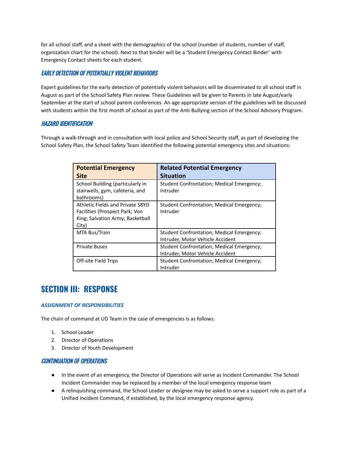for all school staff, and a sheet with the demographics of the school (number of students, number of staff, organization chart for the school). Next to that binder will be a 'Student Emergency Contact Binder' with Emergency Contact sheets for each student.

#### EARLY DETECTION OF POTENTIALLY VIOLENT BEHAVIORS

Expert guidelines for the early detection of potentially violent behaviors will be disseminated to all school staff in August as part of the School Safety Plan review. These Guidelines will be given to Parents in late August/early September at the start of school parent conferences. An age appropriate version of the guidelines will be discussed with students within the first month of school as part of the Anti-Bullying section of the School Advisory Program.

#### HAZARD IDENTIFICATION

Through a walk-through and in consultation with local police and School Security staff, as part of developing the School Safety Plan, the School Safety Team identified the following potential emergency sites and situations:

| <b>Potential Emergency</b><br><b>Site</b>                                                                       | <b>Related Potential Emergency</b><br><b>Situation</b>                        |
|-----------------------------------------------------------------------------------------------------------------|-------------------------------------------------------------------------------|
| School Building (particularly in<br>stairwells, gym, cafeteria, and<br>bathrooms)                               | Student Confrontation; Medical Emergency;<br>Intruder                         |
| Athletic Fields and Private SBYD<br>Facilities (Prospect Park; Von<br>King; Salvation Army; Basketball<br>City) | Student Confrontation; Medical Emergency;<br>Intruder                         |
| MTA Bus/Train                                                                                                   | Student Confrontation; Medical Emergency;<br>Intruder, Motor Vehicle Accident |
| <b>Private Buses</b>                                                                                            | Student Confrontation; Medical Emergency;<br>Intruder, Motor Vehicle Accident |
| Off-site Field Trips                                                                                            | Student Confrontation; Medical Emergency;<br>Intruder                         |

## **SECTION III: RESPONSE**

#### *ASSIGNMENT OF RESPONSIBILITIES*

The chain of command at UD Team in the case of emergencies is as follows:

- 1. School Leader
- 2. Director of Operations
- 3. Director of Youth Development

#### CONTINUATION OF OPERATIONS

- In the event of an emergency, the Director of Operations will serve as Incident Commander. The School Incident Commander may be replaced by a member of the local emergency response team
- A relinquishing command, the School Leader or designee may be asked to serve a support role as part of a Unified Incident Command, if established, by the local emergency response agency.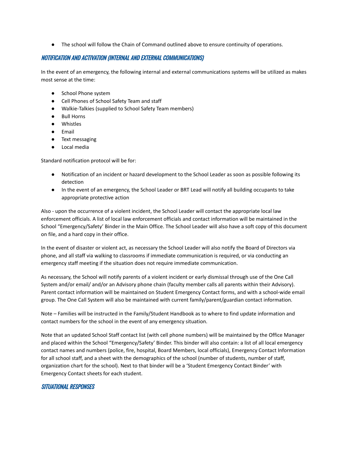● The school will follow the Chain of Command outlined above to ensure continuity of operations.

#### NOTIFICATION AND ACTIVATION (INTERNAL AND EXTERNAL COMMUNICATIONS)

In the event of an emergency, the following internal and external communications systems will be utilized as makes most sense at the time:

- School Phone system
- Cell Phones of School Safety Team and staff
- Walkie-Talkies (supplied to School Safety Team members)
- Bull Horns
- Whistles
- Email
- Text messaging
- Local media

Standard notification protocol will be for:

- Notification of an incident or hazard development to the School Leader as soon as possible following its detection
- In the event of an emergency, the School Leader or BRT Lead will notify all building occupants to take appropriate protective action

Also - upon the occurrence of a violent incident, the School Leader will contact the appropriate local law enforcement officials. A list of local law enforcement officials and contact information will be maintained in the School "Emergency/Safety' Binder in the Main Office. The School Leader will also have a soft copy of this document on file, and a hard copy in their office.

In the event of disaster or violent act, as necessary the School Leader will also notify the Board of Directors via phone, and all staff via walking to classrooms if immediate communication is required, or via conducting an emergency staff meeting if the situation does not require immediate communication.

As necessary, the School will notify parents of a violent incident or early dismissal through use of the One Call System and/or email/ and/or an Advisory phone chain (faculty member calls all parents within their Advisory). Parent contact information will be maintained on Student Emergency Contact forms, and with a school-wide email group. The One Call System will also be maintained with current family/parent/guardian contact information.

Note – Families will be instructed in the Family/Student Handbook as to where to find update information and contact numbers for the school in the event of any emergency situation.

Note that an updated School Staff contact list (with cell phone numbers) will be maintained by the Office Manager and placed within the School "Emergency/Safety' Binder. This binder will also contain: a list of all local emergency contact names and numbers (police, fire, hospital, Board Members, local officials), Emergency Contact Information for all school staff, and a sheet with the demographics of the school (number of students, number of staff, organization chart for the school). Next to that binder will be a 'Student Emergency Contact Binder' with Emergency Contact sheets for each student.

#### SITUATIONAL RESPONSES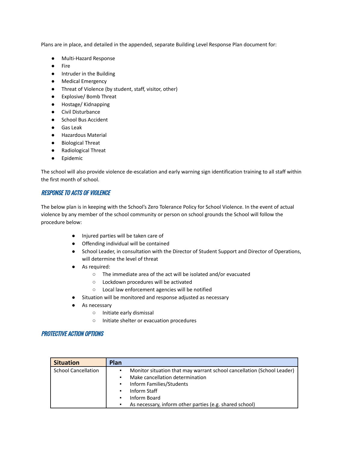Plans are in place, and detailed in the appended, separate Building Level Response Plan document for:

- Multi-Hazard Response
- Fire
- Intruder in the Building
- Medical Emergency
- Threat of Violence (by student, staff, visitor, other)
- Explosive/ Bomb Threat
- Hostage/ Kidnapping
- Civil Disturbance
- School Bus Accident
- Gas Leak
- Hazardous Material
- Biological Threat
- Radiological Threat
- Epidemic

The school will also provide violence de-escalation and early warning sign identification training to all staff within the first month of school.

#### RESPONSE TO ACTS OF VIOLENCE

The below plan is in keeping with the School's Zero Tolerance Policy for School Violence. In the event of actual violence by any member of the school community or person on school grounds the School will follow the procedure below:

- Injured parties will be taken care of
- Offending individual will be contained
- School Leader, in consultation with the Director of Student Support and Director of Operations, will determine the level of threat
- As required:
	- The immediate area of the act will be isolated and/or evacuated
	- Lockdown procedures will be activated
	- Local law enforcement agencies will be notified
- Situation will be monitored and response adjusted as necessary
- As necessary
	- Initiate early dismissal
	- Initiate shelter or evacuation procedures

#### PROTECTIVE ACTION OPTIONS

| <b>Situation</b>           | Plan |                                                                        |
|----------------------------|------|------------------------------------------------------------------------|
| <b>School Cancellation</b> | ٠    | Monitor situation that may warrant school cancellation (School Leader) |
|                            | ٠    | Make cancellation determination                                        |
|                            | ٠    | Inform Families/Students                                               |
|                            | ٠    | Inform Staff                                                           |
|                            | ٠    | Inform Board                                                           |
|                            | ٠    | As necessary, inform other parties (e.g. shared school)                |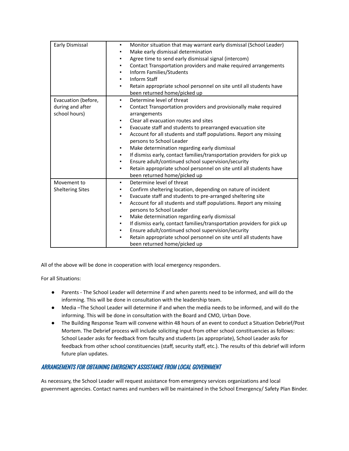| Early Dismissal                                          | Monitor situation that may warrant early dismissal (School Leader)<br>٠<br>Make early dismissal determination<br>٠<br>Agree time to send early dismissal signal (intercom)<br>٠<br>Contact Transportation providers and make required arrangements<br>٠<br>Inform Families/Students<br>٠<br><b>Inform Staff</b><br>٠<br>Retain appropriate school personnel on site until all students have<br>٠<br>been returned home/picked up                                                                                                                                                                                                                            |
|----------------------------------------------------------|-------------------------------------------------------------------------------------------------------------------------------------------------------------------------------------------------------------------------------------------------------------------------------------------------------------------------------------------------------------------------------------------------------------------------------------------------------------------------------------------------------------------------------------------------------------------------------------------------------------------------------------------------------------|
| Evacuation (before,<br>during and after<br>school hours) | Determine level of threat<br>٠<br>Contact Transportation providers and provisionally make required<br>٠<br>arrangements<br>Clear all evacuation routes and sites<br>٠<br>Evacuate staff and students to prearranged evacuation site<br>٠<br>Account for all students and staff populations. Report any missing<br>٠<br>persons to School Leader<br>Make determination regarding early dismissal<br>٠<br>If dismiss early, contact families/transportation providers for pick up<br>٠<br>Ensure adult/continued school supervision/security<br>٠<br>Retain appropriate school personnel on site until all students have<br>٠<br>been returned home/picked up |
| Movement to<br><b>Sheltering Sites</b>                   | Determine level of threat<br>٠<br>Confirm sheltering location, depending on nature of incident<br>٠<br>Evacuate staff and students to pre-arranged sheltering site<br>٠<br>Account for all students and staff populations. Report any missing<br>٠<br>persons to School Leader<br>Make determination regarding early dismissal<br>٠<br>If dismiss early, contact families/transportation providers for pick up<br>٠<br>Ensure adult/continued school supervision/security<br>٠<br>Retain appropriate school personnel on site until all students have<br>٠<br>been returned home/picked up                                                                  |

All of the above will be done in cooperation with local emergency responders.

For all Situations:

- Parents The School Leader will determine if and when parents need to be informed, and will do the informing. This will be done in consultation with the leadership team.
- Media –The School Leader will determine if and when the media needs to be informed, and will do the informing. This will be done in consultation with the Board and CMO, Urban Dove.
- The Building Response Team will convene within 48 hours of an event to conduct a Situation Debrief/Post Mortem. The Debrief process will include soliciting input from other school constituencies as follows: School Leader asks for feedback from faculty and students (as appropriate), School Leader asks for feedback from other school constituencies (staff, security staff, etc.). The results of this debrief will inform future plan updates.

#### ARRANGEMENTS FOR OBTAINING EMERGENCY ASSISTANCE FROM LOCAL GOVERNMENT

As necessary, the School Leader will request assistance from emergency services organizations and local government agencies. Contact names and numbers will be maintained in the School Emergency/ Safety Plan Binder.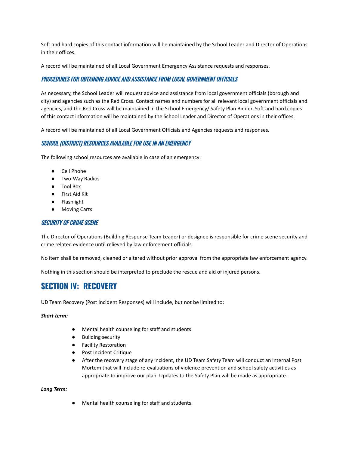Soft and hard copies of this contact information will be maintained by the School Leader and Director of Operations in their offices.

A record will be maintained of all Local Government Emergency Assistance requests and responses.

#### PROCEDURES FOR OBTAINING ADVICE AND ASSISTANCE FROM LOCAL GOVERNMENT OFFICIALS

As necessary, the School Leader will request advice and assistance from local government officials (borough and city) and agencies such as the Red Cross. Contact names and numbers for all relevant local government officials and agencies, and the Red Cross will be maintained in the School Emergency/ Safety Plan Binder. Soft and hard copies of this contact information will be maintained by the School Leader and Director of Operations in their offices.

A record will be maintained of all Local Government Officials and Agencies requests and responses.

#### SCHOOL (DISTRICT) RESOURCES AVAILABLE FOR USE IN AN EMERGENCY

The following school resources are available in case of an emergency:

- Cell Phone
- Two-Way Radios
- Tool Box
- First Aid Kit
- Flashlight
- Moving Carts

#### SECURITY OF CRIME SCENE

The Director of Operations (Building Response Team Leader) or designee is responsible for crime scene security and crime related evidence until relieved by law enforcement officials.

No item shall be removed, cleaned or altered without prior approval from the appropriate law enforcement agency.

Nothing in this section should be interpreted to preclude the rescue and aid of injured persons.

### **SECTION IV: RECOVERY**

UD Team Recovery (Post Incident Responses) will include, but not be limited to:

#### *Short term:*

- Mental health counseling for staff and students
- Building security
- Facility Restoration
- Post Incident Critique
- After the recovery stage of any incident, the UD Team Safety Team will conduct an internal Post Mortem that will include re-evaluations of violence prevention and school safety activities as appropriate to improve our plan. Updates to the Safety Plan will be made as appropriate.

*Long Term:*

● Mental health counseling for staff and students